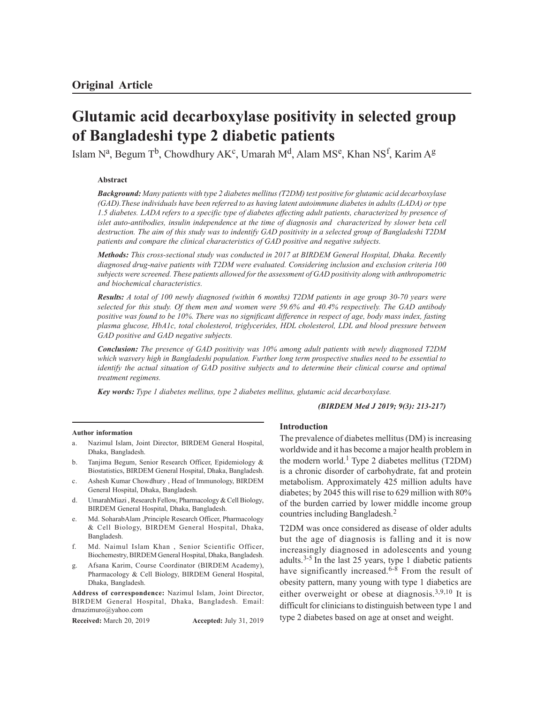# **Glutamic acid decarboxylase positivity in selected group of Bangladeshi type 2 diabetic patients**

Islam Nª, Begum Tʰ, Chowdhury AK°, Umarah M<sup>d</sup>, Alam MS°, Khan NS<sup>f</sup>, Karim A<sup>g</sup>

# **Abstract**

*Background: Many patients with type 2 diabetes mellitus (T2DM) test positive for glutamic acid decarboxylase (GAD).These individuals have been referred to as having latent autoimmune diabetes in adults (LADA) or type 1.5 diabetes. LADA refers to a specific type of diabetes affecting adult patients, characterized by presence of islet auto-antibodies, insulin independence at the time of diagnosis and characterized by slower beta cell destruction. The aim of this study was to indentify GAD positivity in a selected group of Bangladeshi T2DM patients and compare the clinical characteristics of GAD positive and negative subjects.*

*Methods: This cross-sectional study was conducted in 2017 at BIRDEM General Hospital, Dhaka. Recently diagnosed drug-naive patients with T2DM were evaluated. Considering inclusion and exclusion criteria 100 subjects were screened. These patients allowed for the assessment of GAD positivity along with anthropometric and biochemical characteristics.*

*Results: A total of 100 newly diagnosed (within 6 months) T2DM patients in age group 30-70 years were selected for this study. Of them men and women were 59.6% and 40.4% respectively. The GAD antibody positive was found to be 10%. There was no significant difference in respect of age, body mass index, fasting plasma glucose, HbA1c, total cholesterol, triglycerides, HDL cholesterol, LDL and blood pressure between GAD positive and GAD negative subjects.*

*Conclusion: The presence of GAD positivity was 10% among adult patients with newly diagnosed T2DM which wasvery high in Bangladeshi population. Further long term prospective studies need to be essential to identify the actual situation of GAD positive subjects and to determine their clinical course and optimal treatment regimens.*

*Key words: Type 1 diabetes mellitus, type 2 diabetes mellitus, glutamic acid decarboxylase.*

#### *(BIRDEM Med J 2019; 9(3): 213-217)*

#### **Author information**

- a. Nazimul Islam, Joint Director, BIRDEM General Hospital, Dhaka, Bangladesh.
- b. Tanjima Begum, Senior Research Officer, Epidemiology & Biostatistics, BIRDEM General Hospital, Dhaka, Bangladesh.
- c. Ashesh Kumar Chowdhury , Head of Immunology, BIRDEM General Hospital, Dhaka, Bangladesh.
- d. UmarahMiazi , Research Fellow, Pharmacology & Cell Biology, BIRDEM General Hospital, Dhaka, Bangladesh.
- e. Md. SoharabAlam ,Principle Research Officer, Pharmacology & Cell Biology, BIRDEM General Hospital, Dhaka, Bangladesh.
- f. Md. Naimul Islam Khan , Senior Scientific Officer, Biochemestry, BIRDEM General Hospital, Dhaka, Bangladesh.
- g. Afsana Karim, Course Coordinator (BIRDEM Academy), Pharmacology & Cell Biology, BIRDEM General Hospital, Dhaka, Bangladesh.

**Address of correspondence:** Nazimul Islam, Joint Director, BIRDEM General Hospital, Dhaka, Bangladesh. Email: drnazimuro@yahoo.com

**Received:** March 20, 2019 **Accepted:** July 31, 2019

#### **Introduction**

The prevalence of diabetes mellitus (DM) is increasing worldwide and it has become a major health problem in the modern world.<sup>1</sup> Type 2 diabetes mellitus (T2DM) is a chronic disorder of carbohydrate, fat and protein metabolism. Approximately 425 million adults have diabetes; by 2045 this will rise to 629 million with 80% of the burden carried by lower middle income group countries including Bangladesh.<sup>2</sup>

T2DM was once considered as disease of older adults but the age of diagnosis is falling and it is now increasingly diagnosed in adolescents and young adults. $3-5$  In the last 25 years, type 1 diabetic patients have significantly increased.<sup>6-8</sup> From the result of obesity pattern, many young with type 1 diabetics are either overweight or obese at diagnosis.3,9,10 It is difficult for clinicians to distinguish between type 1 and type 2 diabetes based on age at onset and weight.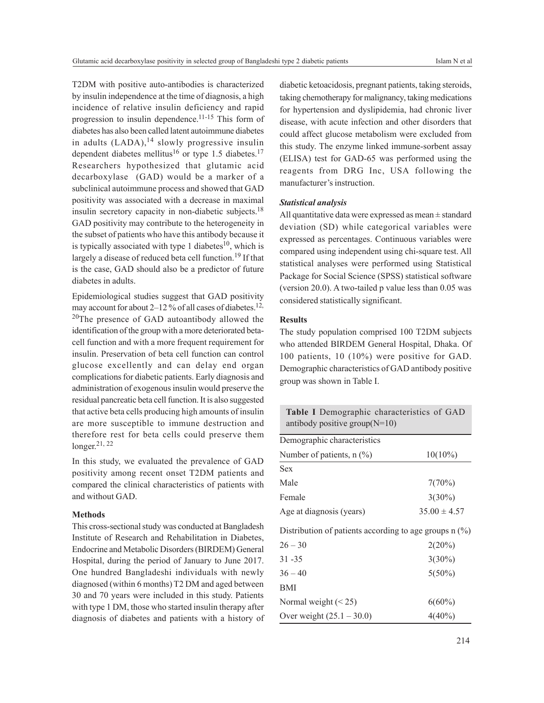T2DM with positive auto-antibodies is characterized by insulin independence at the time of diagnosis, a high incidence of relative insulin deficiency and rapid progression to insulin dependence.<sup>11-15</sup> This form of diabetes has also been called latent autoimmune diabetes in adults  $(LADA)$ ,<sup>14</sup> slowly progressive insulin dependent diabetes mellitus<sup>16</sup> or type 1.5 diabetes.<sup>17</sup> Researchers hypothesized that glutamic acid decarboxylase (GAD) would be a marker of a subclinical autoimmune process and showed that GAD positivity was associated with a decrease in maximal insulin secretory capacity in non-diabetic subjects.<sup>18</sup> GAD positivity may contribute to the heterogeneity in the subset of patients who have this antibody because it is typically associated with type 1 diabetes<sup>10</sup>, which is largely a disease of reduced beta cell function.<sup>19</sup> If that is the case, GAD should also be a predictor of future diabetes in adults.

Epidemiological studies suggest that GAD positivity may account for about 2-12 % of all cases of diabetes.<sup>12,</sup> <sup>20</sup>The presence of GAD autoantibody allowed the identification of the group with a more deteriorated betacell function and with a more frequent requirement for insulin. Preservation of beta cell function can control glucose excellently and can delay end organ complications for diabetic patients. Early diagnosis and administration of exogenous insulin would preserve the residual pancreatic beta cell function. It is also suggested that active beta cells producing high amounts of insulin are more susceptible to immune destruction and therefore rest for beta cells could preserve them longer. 21, 22

In this study, we evaluated the prevalence of GAD positivity among recent onset T2DM patients and compared the clinical characteristics of patients with and without GAD.

# **Methods**

This cross-sectional study was conducted at Bangladesh Institute of Research and Rehabilitation in Diabetes, Endocrine and Metabolic Disorders (BIRDEM) General Hospital, during the period of January to June 2017. One hundred Bangladeshi individuals with newly diagnosed (within 6 months) T2 DM and aged between 30 and 70 years were included in this study. Patients with type 1 DM, those who started insulin therapy after diagnosis of diabetes and patients with a history of diabetic ketoacidosis, pregnant patients, taking steroids, taking chemotherapy for malignancy, taking medications for hypertension and dyslipidemia, had chronic liver disease, with acute infection and other disorders that could affect glucose metabolism were excluded from this study. The enzyme linked immune-sorbent assay (ELISA) test for GAD-65 was performed using the reagents from DRG Inc, USA following the manufacturer's instruction.

# *Statistical analysis*

All quantitative data were expressed as mean ± standard deviation (SD) while categorical variables were expressed as percentages. Continuous variables were compared using independent using chi-square test. All statistical analyses were performed using Statistical Package for Social Science (SPSS) statistical software (version 20.0). A two-tailed p value less than 0.05 was considered statistically significant.

#### **Results**

The study population comprised 100 T2DM subjects who attended BIRDEM General Hospital, Dhaka. Of 100 patients, 10 (10%) were positive for GAD. Demographic characteristics of GAD antibody positive group was shown in Table I.

| <b>Table I</b> Demographic characteristics of GAD<br>antibody positive group $(N=10)$ |                  |  |  |  |  |  |
|---------------------------------------------------------------------------------------|------------------|--|--|--|--|--|
| Demographic characteristics                                                           |                  |  |  |  |  |  |
| Number of patients, $n$ (%)                                                           | $10(10\%)$       |  |  |  |  |  |
| <b>Sex</b>                                                                            |                  |  |  |  |  |  |
| Male                                                                                  | 7(70%)           |  |  |  |  |  |
| Female                                                                                | $3(30\%)$        |  |  |  |  |  |
| Age at diagnosis (years)                                                              | $35.00 \pm 4.57$ |  |  |  |  |  |
| Distribution of patients according to age groups $n$ (%)                              |                  |  |  |  |  |  |
| $26 - 30$                                                                             | 2(20%)           |  |  |  |  |  |
| $31 - 35$                                                                             | $3(30\%)$        |  |  |  |  |  |
| $36 - 40$                                                                             | $5(50\%)$        |  |  |  |  |  |
| BMI                                                                                   |                  |  |  |  |  |  |
| Normal weight $(< 25)$                                                                | $6(60\%)$        |  |  |  |  |  |
| Over weight $(25.1 - 30.0)$                                                           | $4(40\%)$        |  |  |  |  |  |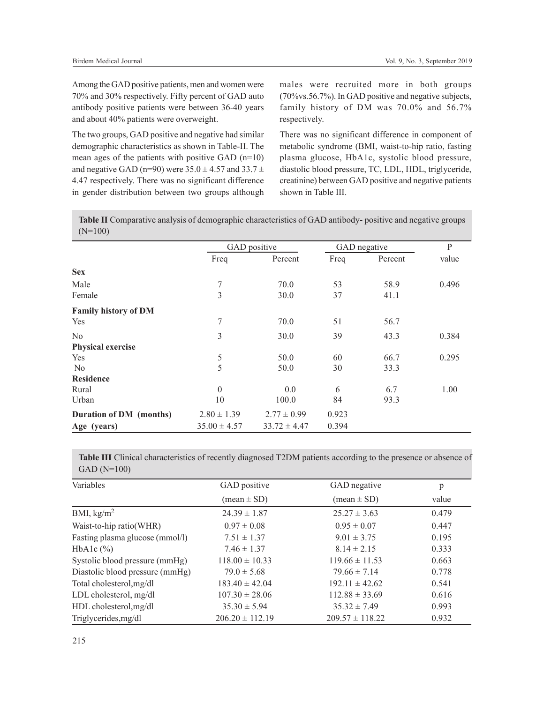Among the GAD positive patients, men and women were 70% and 30% respectively. Fifty percent of GAD auto antibody positive patients were between 36-40 years and about 40% patients were overweight.

The two groups, GAD positive and negative had similar demographic characteristics as shown in Table-II. The mean ages of the patients with positive GAD (n=10) and negative GAD (n=90) were  $35.0 \pm 4.57$  and  $33.7 \pm$ 4.47 respectively. There was no significant difference in gender distribution between two groups although males were recruited more in both groups (70%vs.56.7%). In GAD positive and negative subjects, family history of DM was 70.0% and 56.7% respectively.

There was no significant difference in component of metabolic syndrome (BMI, waist-to-hip ratio, fasting plasma glucose, HbA1c, systolic blood pressure, diastolic blood pressure, TC, LDL, HDL, triglyceride, creatinine) between GAD positive and negative patients shown in Table III.

**Table II** Comparative analysis of demographic characteristics of GAD antibody- positive and negative groups (N=100)

|                             |                  | GAD positive     |       | GAD negative | $\mathbf P$ |
|-----------------------------|------------------|------------------|-------|--------------|-------------|
|                             | Freq             | Percent          | Freq  | Percent      | value       |
| <b>Sex</b>                  |                  |                  |       |              |             |
| Male                        | 7                | 70.0             | 53    | 58.9         | 0.496       |
| Female                      | 3                | 30.0             | 37    | 41.1         |             |
| <b>Family history of DM</b> |                  |                  |       |              |             |
| Yes                         | 7                | 70.0             | 51    | 56.7         |             |
| N <sub>o</sub>              | 3                | 30.0             | 39    | 43.3         | 0.384       |
| <b>Physical exercise</b>    |                  |                  |       |              |             |
| <b>Yes</b>                  | 5                | 50.0             | 60    | 66.7         | 0.295       |
| N <sub>o</sub>              | 5                | 50.0             | 30    | 33.3         |             |
| <b>Residence</b>            |                  |                  |       |              |             |
| Rural                       | $\mathbf{0}$     | 0.0              | 6     | 6.7          | 1.00        |
| Urban                       | 10               | 100.0            | 84    | 93.3         |             |
| Duration of DM (months)     | $2.80 \pm 1.39$  | $2.77 \pm 0.99$  | 0.923 |              |             |
| Age (years)                 | $35.00 \pm 4.57$ | $33.72 \pm 4.47$ | 0.394 |              |             |

**Table III** Clinical characteristics of recently diagnosed T2DM patients according to the presence or absence of GAD (N=100)

| Variables                       | GAD positive                  | GAD negative                  | p     |
|---------------------------------|-------------------------------|-------------------------------|-------|
|                                 | $(\text{mean} \pm \text{SD})$ | $(\text{mean} \pm \text{SD})$ | value |
| BMI, $\text{kg/m}^2$            | $24.39 \pm 1.87$              | $25.27 \pm 3.63$              | 0.479 |
| Waist-to-hip ratio(WHR)         | $0.97 \pm 0.08$               | $0.95 \pm 0.07$               | 0.447 |
| Fasting plasma glucose (mmol/l) | $7.51 \pm 1.37$               | $9.01 \pm 3.75$               | 0.195 |
| HbAlc $(\% )$                   | $7.46 \pm 1.37$               | $8.14 \pm 2.15$               | 0.333 |
| Systolic blood pressure (mmHg)  | $118.00 \pm 10.33$            | $119.66 \pm 11.53$            | 0.663 |
| Diastolic blood pressure (mmHg) | $79.0 \pm 5.68$               | $79.66 \pm 7.14$              | 0.778 |
| Total cholesterol, mg/dl        | $183.40 \pm 42.04$            | $192.11 \pm 42.62$            | 0.541 |
| LDL cholesterol, mg/dl          | $107.30 \pm 28.06$            | $112.88 \pm 33.69$            | 0.616 |
| HDL cholesterol, mg/dl          | $35.30 \pm 5.94$              | $35.32 \pm 7.49$              | 0.993 |
| Triglycerides, mg/dl            | $206.20 \pm 112.19$           | $209.57 \pm 118.22$           | 0.932 |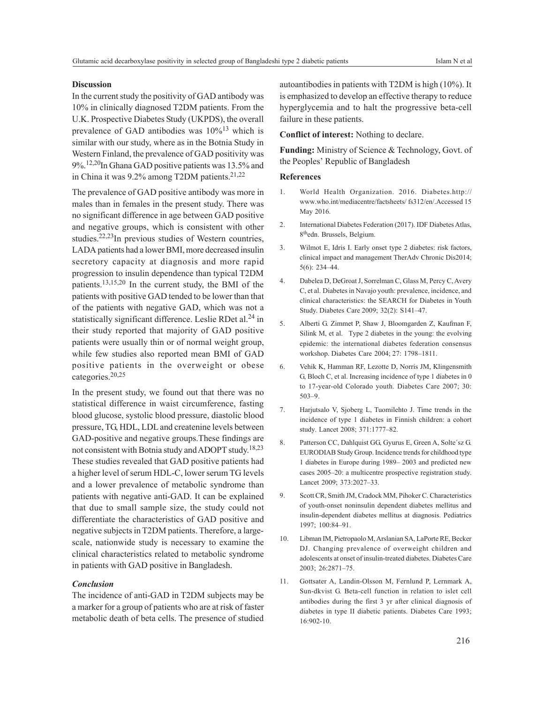# **Discussion**

In the current study the positivity of GAD antibody was 10% in clinically diagnosed T2DM patients. From the U.K. Prospective Diabetes Study (UKPDS), the overall prevalence of GAD antibodies was  $10\%$ <sup>13</sup> which is similar with our study, where as in the Botnia Study in Western Finland, the prevalence of GAD positivity was 9%.12,20In Ghana GAD positive patients was 13.5% and in China it was  $9.2\%$  among T2DM patients.<sup>21,22</sup>

The prevalence of GAD positive antibody was more in males than in females in the present study. There was no significant difference in age between GAD positive and negative groups, which is consistent with other studies.22,23In previous studies of Western countries, LADA patients had a lower BMI, more decreased insulin secretory capacity at diagnosis and more rapid progression to insulin dependence than typical T2DM patients.13,15,20 In the current study, the BMI of the patients with positive GAD tended to be lower than that of the patients with negative GAD, which was not a statistically significant difference. Leslie RDet al.<sup>24</sup> in their study reported that majority of GAD positive patients were usually thin or of normal weight group, while few studies also reported mean BMI of GAD positive patients in the overweight or obese categories.20,25

In the present study, we found out that there was no statistical difference in waist circumference, fasting blood glucose, systolic blood pressure, diastolic blood pressure, TG, HDL, LDL and createnine levels between GAD-positive and negative groups.These findings are not consistent with Botnia study and ADOPT study. 18,23 These studies revealed that GAD positive patients had a higher level of serum HDL-C, lower serum TG levels and a lower prevalence of metabolic syndrome than patients with negative anti-GAD. It can be explained that due to small sample size, the study could not differentiate the characteristics of GAD positive and negative subjects in T2DM patients. Therefore, a largescale, nationwide study is necessary to examine the clinical characteristics related to metabolic syndrome in patients with GAD positive in Bangladesh.

#### *Conclusion*

The incidence of anti-GAD in T2DM subjects may be a marker for a group of patients who are at risk of faster metabolic death of beta cells. The presence of studied autoantibodies in patients with T2DM is high (10%). It is emphasized to develop an effective therapy to reduce hyperglycemia and to halt the progressive beta-cell failure in these patients.

**Conflict of interest:** Nothing to declare.

**Funding:** Ministry of Science & Technology, Govt. of the Peoples' Republic of Bangladesh

# **References**

- 1. World Health Organization. 2016. Diabetes.http:// www.who.int/mediacentre/factsheets/ fs312/en/.Accessed 15 May 2016.
- 2. International Diabetes Federation (2017). IDF Diabetes Atlas, 8 thedn. Brussels, Belgium.
- 3. Wilmot E, Idris I. Early onset type 2 diabetes: risk factors, clinical impact and management TherAdv Chronic Dis2014; 5(6): 234–44.
- 4. Dabelea D, DeGroat J, Sorrelman C, Glass M, Percy C, Avery C, et al. Diabetes in Navajo youth: prevalence, incidence, and clinical characteristics: the SEARCH for Diabetes in Youth Study. Diabetes Care 2009; 32(2): S141–47.
- 5. Alberti G. Zimmet P, Shaw J, Bloomgarden Z, Kaufman F, Silink M, et al. Type 2 diabetes in the young: the evolving epidemic: the international diabetes federation consensus workshop. Diabetes Care 2004; 27: 1798–1811.
- 6. Vehik K, Hamman RF, Lezotte D, Norris JM, Klingensmith G, Bloch C, et al. Increasing incidence of type 1 diabetes in 0 to 17-year-old Colorado youth. Diabetes Care 2007; 30: 503–9.
- 7. Harjutsalo V, Sjoberg L, Tuomilehto J. Time trends in the incidence of type 1 diabetes in Finnish children: a cohort study. Lancet 2008; 371:1777–82.
- 8. Patterson CC, Dahlquist GG, Gyurus E, Green A, Solte´sz G. EURODIAB Study Group. Incidence trends for childhood type 1 diabetes in Europe during 1989– 2003 and predicted new cases 2005–20: a multicentre prospective registration study. Lancet 2009; 373:2027–33.
- 9. Scott CR, Smith JM, Cradock MM, Pihoker C. Characteristics of youth-onset noninsulin dependent diabetes mellitus and insulin-dependent diabetes mellitus at diagnosis. Pediatrics 1997; 100:84–91.
- 10. Libman IM, Pietropaolo M, Arslanian SA, LaPorte RE, Becker DJ. Changing prevalence of overweight children and adolescents at onset of insulin-treated diabetes. Diabetes Care 2003; 26:2871–75.
- 11. Gottsater A, Landin-Olsson M, Fernlund P, Lernmark A, Sun-dkvist G. Beta-cell function in relation to islet cell antibodies during the first 3 yr after clinical diagnosis of diabetes in type II diabetic patients. Diabetes Care 1993; 16:902-10.